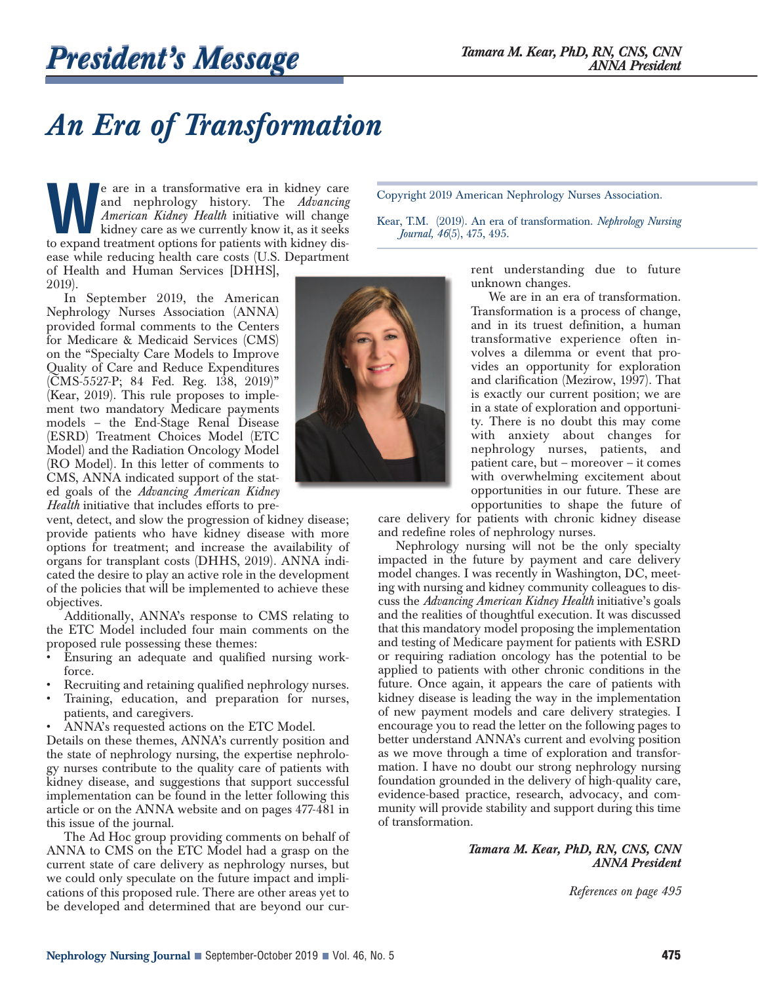## *An Era of Transformation*

**We are in a transformative era in kidney care**<br>and nephrology history. The *Advancing*<br>*American Kidney Health* initiative will change<br>kidney care as we currently know it, as it seeks<br>to expand treatment options for patie and nephrology history. The *Advancing American Kidney Health* initiative will change kidney care as we currently know it, as it seeks to expand treatment options for patients with kidney disease while reducing health care costs (U.S. Department of Health and Human Services [DHHS], 2019).

In September 2019, the American Nephrology Nurses Association (ANNA) provided formal comments to the Centers for Medicare & Medicaid Services (CMS) on the "Specialty Care Models to Improve Quality of Care and Reduce Expenditures (CMS-5527-P; 84 Fed. Reg. 138, 2019)" (Kear, 2019). This rule proposes to implement two mandatory Medicare payments models – the End-Stage Renal Disease (ESRD) Treatment Choices Model (ETC Model) and the Radiation Oncology Model (RO Model). In this letter of comments to CMS, ANNA indicated support of the stated goals of the *Advancing American Kidney Health* initiative that includes efforts to pre-

vent, detect, and slow the progression of kidney disease; provide patients who have kidney disease with more options for treatment; and increase the availability of organs for transplant costs (DHHS, 2019). ANNA indicated the desire to play an active role in the development of the policies that will be implemented to achieve these objectives.

Additionally, ANNA's response to CMS relating to the ETC Model included four main comments on the proposed rule possessing these themes:

- Ensuring an adequate and qualified nursing workforce.
- Recruiting and retaining qualified nephrology nurses.
- Training, education, and preparation for nurses, patients, and caregivers.
- ANNA's requested actions on the ETC Model.

Details on these themes, ANNA's currently position and the state of nephrology nursing, the expertise nephrology nurses contribute to the quality care of patients with kidney disease, and suggestions that support successful implementation can be found in the letter following this article or on the ANNA website and on pages 477-481 in this issue of the journal.

The Ad Hoc group providing comments on behalf of ANNA to CMS on the ETC Model had a grasp on the current state of care delivery as nephrology nurses, but we could only speculate on the future impact and implications of this proposed rule. There are other areas yet to be developed and determined that are beyond our cur-

Copyright 2019 American Nephrology Nurses Association.

Kear, T.M. (2019). An era of transformation. *Nephrology Nursing Journal, 46*(5), 475, 495.

> rent understanding due to future unknown changes.

> We are in an era of transformation. Transformation is a process of change, and in its truest definition, a human transformative experience often involves a dilemma or event that provides an opportunity for exploration and clarification (Mezirow, 1997). That is exactly our current position; we are in a state of exploration and opportunity. There is no doubt this may come with anxiety about changes for nephrology nurses, patients, and patient care, but – moreover – it comes with overwhelming excitement about opportunities in our future. These are opportunities to shape the future of

care delivery for patients with chronic kidney disease and redefine roles of nephrology nurses.

Nephrology nursing will not be the only specialty impacted in the future by payment and care delivery model changes. I was recently in Washington, DC, meeting with nursing and kidney community colleagues to discuss the *Advancing American Kidney Health* initiative's goals and the realities of thoughtful execution. It was discussed that this mandatory model proposing the implementation and testing of Medicare payment for patients with ESRD or requiring radiation oncology has the potential to be applied to patients with other chronic conditions in the future. Once again, it appears the care of patients with kidney disease is leading the way in the implementation of new payment models and care delivery strategies. I encourage you to read the letter on the following pages to better understand ANNA's current and evolving position as we move through a time of exploration and transformation. I have no doubt our strong nephrology nursing foundation grounded in the delivery of high-quality care, evidence-based practice, research, advocacy, and community will provide stability and support during this time of transformation.

## *Tamara M. Kear, PhD, RN, CNS, CNN ANNA President*

*References on page 495*